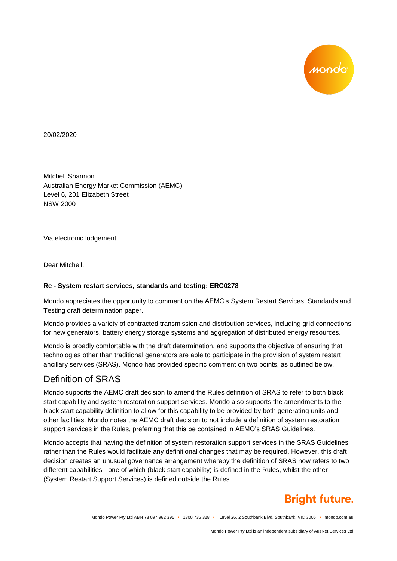

20/02/2020

Mitchell Shannon Australian Energy Market Commission (AEMC) Level 6, 201 Elizabeth Street NSW 2000

Via electronic lodgement

Dear Mitchell,

## **Re - System restart services, standards and testing: ERC0278**

Mondo appreciates the opportunity to comment on the AEMC's System Restart Services, Standards and Testing draft determination paper.

Mondo provides a variety of contracted transmission and distribution services, including grid connections for new generators, battery energy storage systems and aggregation of distributed energy resources.

Mondo is broadly comfortable with the draft determination, and supports the objective of ensuring that technologies other than traditional generators are able to participate in the provision of system restart ancillary services (SRAS). Mondo has provided specific comment on two points, as outlined below.

## Definition of SRAS

Mondo supports the AEMC draft decision to amend the Rules definition of SRAS to refer to both black start capability and system restoration support services. Mondo also supports the amendments to the black start capability definition to allow for this capability to be provided by both generating units and other facilities. Mondo notes the AEMC draft decision to not include a definition of system restoration support services in the Rules, preferring that this be contained in AEMO's SRAS Guidelines.

Mondo accepts that having the definition of system restoration support services in the SRAS Guidelines rather than the Rules would facilitate any definitional changes that may be required. However, this draft decision creates an unusual governance arrangement whereby the definition of SRAS now refers to two different capabilities - one of which (black start capability) is defined in the Rules, whilst the other (System Restart Support Services) is defined outside the Rules.

## **Bright future.**

Mondo Power Pty Ltd ABN 73 097 962 395 • 1300 735 328 • Level 26, 2 Southbank Blvd, Southbank, VIC 3006 • mondo.com.au